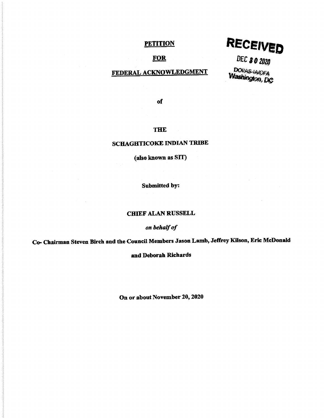# **PETITION**

## **FOR**

# FEDERAL ACKNOWLEDGMENT

RECEIVED

DEC 80 2020 DOUAS-IA/OFA

of

## THE

# SCHAGHTICOKE INDIAN TRIBE

(also known as SIT)

Submitted by:

#### cmEF ALAN RUSSELL

*on behalf of* 

Co- Chairman Steven Birch and the Council Members Jason Lamb, Jeffrey Kilson, Eric McDonald

and Deborah Richards

On or about November 20, 2020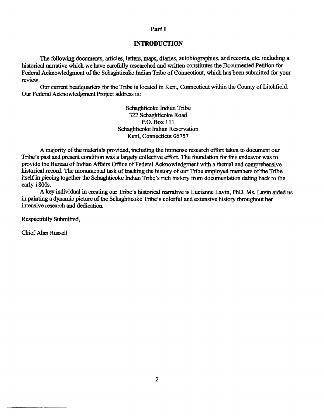#### Part I

#### **INTRODUCTION**

The following documents, articles, letters, maps, diaries, autobiographies, and records, etc. including a historical narrative which we have carefully researched and written constitutes the Documented Petition for Federal Acknowledgment of the Schaghticoke Indian Tribe of Connecticut, which has been submitted for your review.

Our current headquarters for the Tribe is located in Kent, Connecticut within the County of Litchfield. Our Federal Acknowledgment Project address is:

> Schaghticoke Indian Tribe 322 Schaghticoke Road P.O. Box 111 Schaghticoke Indian Reservation Kent, Connecticut 06757

A majority of the materials provided, including the immense research effort taken to document our Tribe's past and present condition was a largely collective effort. The foundation for this endeavor was to provide the Bureau of Indian Affairs Office of Federal Acknowledgment with a factual and comprehensive historical record. The monumental task of tracking the history of our Tribe employed members of the Tribe itself in piecing together the Schaghticoke Indian Tribe's rich history from documentation dating back to the early 1800s.

A key individual in creating our Tribe's historical narrative is Lucianne Lavin, PhD. Ms. Lavin aided us in painting a dynamic picture of the Schaghticoke Tribe's colorful and extensive history throughout her intensive research and dedication.

Respectfully Submitted,

Chief Alan Russell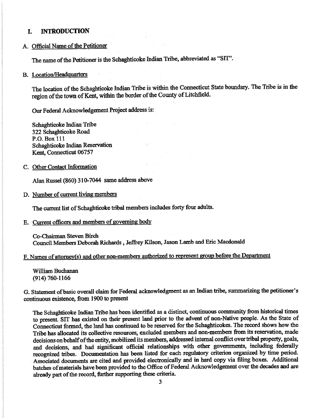#### I. **INTRODUCTION**

# A. Official Name of the Petitioner

The name of the Petitioner is the Schaghticoke Indian Tribe, abbreviated as "SIT''.

#### B. Location/Headquarters

The location of the Schaghticoke Indian Tribe is within the Connecticut State boundazy. The Tribe is in the region of the town of Kent, within the border of the County of Litchfield.

Our Federal Acknowledgement Project address is:

Schaghticoke Indian Tribe 322 Schaghticoke Road P.O.Box 111 Schaghticoke Indian Reservation Kent, Connecticut 06757

## C. Other Contact Information

Alan Russel (860) 310-7044 same address above

D. Number of current living members

The current list of Schaghticoke tribal members includes forty four adults.

E. Current officers and members of governing body

Co-Chairman Steven Birch Council Members Deborah Richards, Jeffrey Kilson, Jason Lamb and Eric Macdonald

F. Names of attomey(s) and other non-members authorized to represent group before the Department

William Buchanan (914) 760-1166

G. Statement ofbasic overall claim for Federal acknowledgment as an Indian tribe, summarizing the petitioner's continuous existence, from 1900 to present

The Schaghticoke Indian Tribe has been identified as a distinct, continuous community from historical times to present. SIT has existed on their present land prior to the advent of non-Native people. As the State of Connecticut formed, the land has continued to be reserved for the Schaghticokes. The record shows how the Tribe has allocated its collective resources, excluded members and non-members from its reservation, made decisions on behalf of the entity, mobilized its members, addressed internal conflict over tribal property, goals, and decisions, and had significant official relationships with other governments, including federally recognized tribes. Documentation has been listed for each regulatory criterion organized by time period. Associated documents are cited and provided electronically and in hard copy via filing boxes. Additional batches of materials have been provided to the Office of Federal Acknowledgement over the decades and are already part of the record, further supporting these criteria.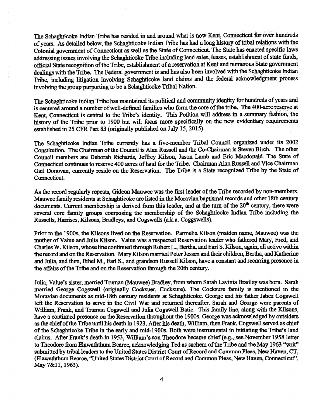The Schaghticoke Indian Tribe has resided in and around what is now Kent, Connecticut for over hundreds of years. As detailed below, the Schaghticoke Indian Tribe has had a long history of tribal relations with the Colonial government of Connecticut as well as the State of Connecticut. The State has enacted specific laws addressing issues involving the Schaghticoke Tribe including land sales, leases, establishment of state funds, official 'State recognition of the Tribe, establishment of a reservation at Kent and numerous State government dealings with the Tribe. The Federal government is and has also been involved with the Schaghticoke Indian Tribe, including litigation involving Schaghticoke land claims and the federal acknowledgment process involving the group purporting to be a Schaghticoke Tribal Nation.

The Schaghticoke Indian Tribe has maintained its political and community identity for hundreds of years an<sup>d</sup> is centered around a number of well-defined families who fonn the core of the tribe. The 400-acre reserve at Kent, Connecticut is central to the Tribe's identity. This Petition will address in a summary fashion, the history of the Tribe prior to 1900 but will focus more specifically on the new evidentiary requirements established in 25 CFR Part 83 (originally published on July 15, 2015).

The Schaghticoke Indian Tribe currently has a five-member Tribal Council organized under its 2002 Constitution. The Chairman of the Council is Alan Russell and the Co-Chairman is Steven Birch. The other Council members are Deborah Richards, Jeffrey Kilson, Jason Lamb and Eric Macdonald. The State of Connecticut continues to reserve 400 acres of land for the Tribe. Chairman Alan Russell and Vice Chairman Gail Donovan, currently reside on the Reservation. The Tribe is a State recognized Tribe by the State of Connecticut.

As the record regularly repeats, Gideon Mauwee was the first leader of the Tribe recorded by non-members. Mauwee family residents at Schaghticoke are listed in the Moravian baptismal records and other 18th century documents. Current membership is derived from this leader, and at the turn of the 20<sup>th</sup> century, there were several core family groups composing the membership of the Schaghticoke Indian Tribe including the Russells, Harrises, Kilsons, Bradleys, and Cogswells (a.k.a. Coggswells).

Prior to the 1900s, the Kilsons lived on the Reservation. Parmelia Kilson (maiden name, Mauwee) was the mother of Value and Julia Kilson. Value was a respected Reservation leader who fathered Mary, Fred, and Charles W. Kilson, whose line continued through Robert L., Bertha, and Earl S. Kilson, again, all active within the record and on the Reservation. Mary Kilson married Peter Jessen and their children, Bertha, and Katherine and Julia, and then, Ethel M., Earl S., and grandson Russell Kilson, have a constant and recurring presence in the affairs of the Tribe and on the Reservation through the 20th century.

Julia, Value's sister, married Truman (Mauwee) Bradley, from whom Sarah Lavinia Bradley was born. Sarah married George Cogswell (originally Cocksuer, Cocksure). The Cocksure family is mentioned in the Moravian documents as mid-18th century residents at Schaghticoke. George and his father Jabez Cogswell left the Reservation to serve in the Civil War and returned thereafter. Sarah and George were parents of William, Frank, and Truman Cogswell and Julia Cogswell Batie. This family line, along with the Kilsons, have a continued presence on the Reservation throughout the 1900s. George was acknowledged by outsiders as the chief of the Tribe until his death in 1923. After his death, William, then Frank, Cogswell served as chief of the Schaghticoke Tribe in the early and mid-1900s. Both were instnnnental in initiating the Tribe's land claims. After Frank's death in 1953, William's son Theodore became chief (e.g., see November 1958 letter to Theodore from Elawaththum Bearce, acknowledging Ted as sachem of the Tribe and the May 1963 "writ" submitted by tribal leaders to the United States District Court of Record and Common Pleas, New Haven, CT, (Elawaththum Bearce, "United States District Court of Record and Common Pleas, New Haven, Connecticut", May 7&11, 1963).